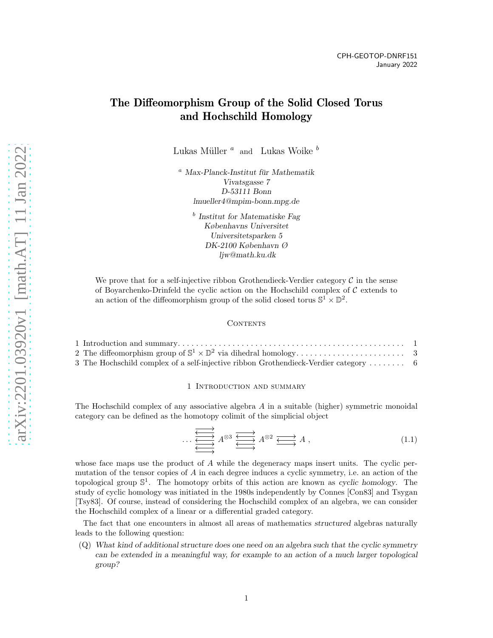# The Diffeomorphism Group of the Solid Closed Torus and Hochschild Homology

Lukas Müller $\sp{a} \sp{a}$  and  $\sp{b}$  Lukas Woike  $\sp{b}$ 

 $a$  Max-Planck-Institut für Mathematik Vivatsgasse 7 D-53111 Bonn lmueller4@mpim-bonn.mpg.de

> b Institut for Matematiske Fag Københavns Universitet Universitetsparken 5 DK-2100 København Ø ljw@math.ku.dk

We prove that for a self-injective ribbon Grothendieck-Verdier category  $\mathcal C$  in the sense of Boyarchenko-Drinfeld the cyclic action on the Hochschild complex of  $\mathcal C$  extends to an action of the diffeomorphism group of the solid closed torus  $\mathbb{S}^1 \times \mathbb{D}^2$ .

### <span id="page-0-1"></span>**CONTENTS**

| 3 The Hochschild complex of a self-injective ribbon Grothendieck-Verdier category  6 |  |
|--------------------------------------------------------------------------------------|--|

### 1 Introduction and summary

<span id="page-0-0"></span>The Hochschild complex of any associative algebra A in a suitable (higher) symmetric monoidal category can be defined as the homotopy colimit of the simplicial object

$$
\cdots \xleftarrow{\overbrace{\longleftarrow \longrightarrow} \atop \longleftarrow} A^{\otimes 3} \xrightarrow{\overbrace{\longleftarrow} \longrightarrow} A^{\otimes 2} \xrightarrow{\overbrace{\longleftarrow} \longrightarrow} A ,
$$
\n(1.1)

whose face maps use the product of  $A$  while the degeneracy maps insert units. The cyclic permutation of the tensor copies of  $A$  in each degree induces a cyclic symmetry, i.e. an action of the topological group  $\mathbb{S}^1$ . The homotopy orbits of this action are known as cyclic homology. The study of cyclic homology was initiated in the 1980s independently by Connes [\[Con83\]](#page-10-0) and Tsygan [\[Tsy83\]](#page-11-0). Of course, instead of considering the Hochschild complex of an algebra, we can consider the Hochschild complex of a linear or a differential graded category.

The fact that one encounters in almost all areas of mathematics structured algebras naturally leads to the following question:

(Q) What kind of additional structure does one need on an algebra such that the cyclic symmetry can be extended in a meaningful way, for example to an action of a much larger topological group?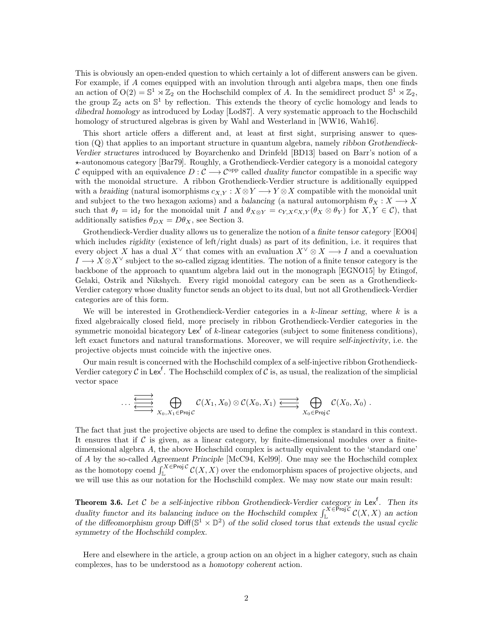This is obviously an open-ended question to which certainly a lot of different answers can be given. For example, if A comes equipped with an involution through anti algebra maps, then one finds an action of  $O(2) = \mathbb{S}^1 \rtimes \mathbb{Z}_2$  on the Hochschild complex of A. In the semidirect product  $\mathbb{S}^1 \rtimes \mathbb{Z}_2$ , the group  $\mathbb{Z}_2$  acts on  $\mathbb{S}^1$  by reflection. This extends the theory of cyclic homology and leads to dihedral homology as introduced by Loday [\[Lod87\]](#page-10-1). A very systematic approach to the Hochschild homology of structured algebras is given by Wahl and Westerland in [\[WW16,](#page-11-1) [Wah16\]](#page-11-2).

This short article offers a different and, at least at first sight, surprising answer to question (Q) that applies to an important structure in quantum algebra, namely ribbon Grothendieck-Verdier structures introduced by Boyarchenko and Drinfeld [\[BD13\]](#page-10-2) based on Barr's notion of a ⋆-autonomous category [\[Bar79\]](#page-10-3). Roughly, a Grothendieck-Verdier category is a monoidal category C equipped with an equivalence  $D: \mathcal{C} \longrightarrow \mathcal{C}^{\text{opp}}$  called duality functor compatible in a specific way with the monoidal structure. A ribbon Grothendieck-Verdier structure is additionally equipped with a braiding (natural isomorphisms  $c_{X,Y}: X \otimes Y \longrightarrow Y \otimes X$  compatible with the monoidal unit and subject to the two hexagon axioms) and a balancing (a natural automorphism  $\theta_X : X \longrightarrow X$ such that  $\theta_I = id_I$  for the monoidal unit I and  $\theta_{X \otimes Y} = c_{Y,X} c_{X,Y} (\theta_X \otimes \theta_Y)$  for  $X, Y \in \mathcal{C}$ , that additionally satisfies  $\theta_{DX} = D\theta_X$ , see Section [3.](#page-5-0)

Grothendieck-Verdier duality allows us to generalize the notion of a finite tensor category [\[EO04\]](#page-10-4) which includes *rigidity* (existence of left/right duals) as part of its definition, i.e. it requires that every object X has a dual X<sup> $\vee$ </sup> that comes with an evaluation  $X^{\vee} \otimes X \longrightarrow I$  and a coevaluation  $I \longrightarrow X \otimes X^{\vee}$  subject to the so-called zigzag identities. The notion of a finite tensor category is the backbone of the approach to quantum algebra laid out in the monograph [\[EGNO15\]](#page-10-5) by Etingof, Gelaki, Ostrik and Nikshych. Every rigid monoidal category can be seen as a Grothendieck-Verdier category whose duality functor sends an object to its dual, but not all Grothendieck-Verdier categories are of this form.

We will be interested in Grothendieck-Verdier categories in a k-linear setting, where  $k$  is a fixed algebraically closed field, more precisely in ribbon Grothendieck-Verdier categories in the symmetric monoidal bicategory  $\text{Lex}^f$  of k-linear categories (subject to some finiteness conditions), left exact functors and natural transformations. Moreover, we will require self-injectivity, i.e. the projective objects must coincide with the injective ones.

Our main result is concerned with the Hochschild complex of a self-injective ribbon Grothendieck-Verdier category  $C$  in Lex<sup>f</sup>. The Hochschild complex of  $C$  is, as usual, the realization of the simplicial vector space

$$
\cdots \xrightarrow{\overbrace{\longleftarrow \longrightarrow}} \bigoplus_{X_0, X_1 \in \text{Proj }\mathcal{C}} \mathcal{C}(X_1, X_0) \otimes \mathcal{C}(X_0, X_1) \xrightarrow{\overbrace{\longleftarrow}} \bigoplus_{X_0 \in \text{Proj }\mathcal{C}} \mathcal{C}(X_0, X_0) .
$$

The fact that just the projective objects are used to define the complex is standard in this context. It ensures that if  $\mathcal C$  is given, as a linear category, by finite-dimensional modules over a finitedimensional algebra A, the above Hochschild complex is actually equivalent to the 'standard one' of A by the so-called Agreement Principle [\[McC94,](#page-10-6) [Kel99\]](#page-10-7). One may see the Hochschild complex as the homotopy coend  $\int_{\mathbb{L}}^{X \in \text{Proj } C} C(X,X)$  over the endomorphism spaces of projective objects, and we will use this as our notation for the Hochschild complex. We may now state our main result:

**Theorem [3.6.](#page-6-0)** Let C be a self-injective ribbon Grothendieck-Verdier category in Lex<sup>f</sup>. Then its duality functor and its balancing induce on the Hochschild complex  $\int_{\mathbb{L}}^{X \in \text{Proj } C} C(X, X)$  an action of the diffeomorphism group  $Diff(\mathbb{S}^1 \times \mathbb{D}^2)$  of the solid closed torus that extends the usual cyclic symmetry of the Hochschild complex.

Here and elsewhere in the article, a group action on an object in a higher category, such as chain complexes, has to be understood as a homotopy coherent action.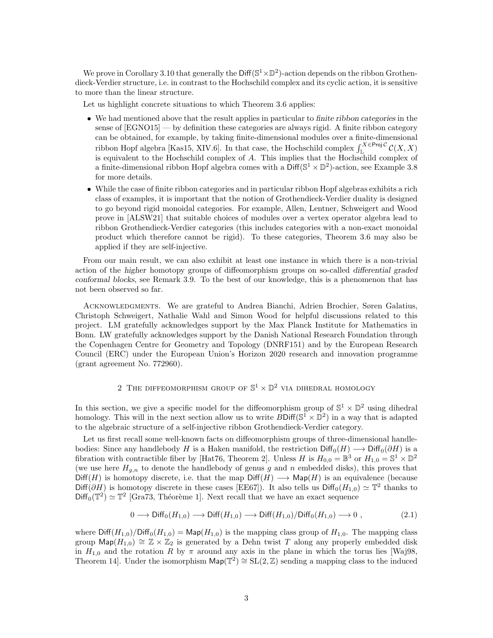We prove in Corollary [3.10](#page-9-0) that generally the Diff( $\mathbb{S}^1 \times \mathbb{D}^2$ )-action depends on the ribbon Grothendieck-Verdier structure, i.e. in contrast to the Hochschild complex and its cyclic action, it is sensitive to more than the linear structure.

Let us highlight concrete situations to which Theorem [3.6](#page-6-0) applies:

- We had mentioned above that the result applies in particular to finite ribbon categories in the sense of [\[EGNO15\]](#page-10-5) — by definition these categories are always rigid. A finite ribbon category can be obtained, for example, by taking finite-dimensional modules over a finite-dimensional ribbon Hopf algebra [\[Kas15,](#page-10-8) XIV.6]. In that case, the Hochschild complex  $\int_{\mathbb{L}}^{X \in \mathsf{Proj} \mathcal{C}} C(X, X)$ is equivalent to the Hochschild complex of A. This implies that the Hochschild complex of a finite-dimensional ribbon Hopf algebra comes with a  $\text{Diff}(\mathbb{S}^1 \times \mathbb{D}^2)$ -action, see Example [3.8](#page-8-0) for more details.
- While the case of finite ribbon categories and in particular ribbon Hopf algebras exhibits a rich class of examples, it is important that the notion of Grothendieck-Verdier duality is designed to go beyond rigid monoidal categories. For example, Allen, Lentner, Schweigert and Wood prove in [\[ALSW21\]](#page-10-9) that suitable choices of modules over a vertex operator algebra lead to ribbon Grothendieck-Verdier categories (this includes categories with a non-exact monoidal product which therefore cannot be rigid). To these categories, Theorem [3.6](#page-6-0) may also be applied if they are self-injective.

From our main result, we can also exhibit at least one instance in which there is a non-trivial action of the higher homotopy groups of diffeomorphism groups on so-called differential graded conformal blocks, see Remark [3.9.](#page-9-1) To the best of our knowledge, this is a phenomenon that has not been observed so far.

Acknowledgments. We are grateful to Andrea Bianchi, Adrien Brochier, Søren Galatius, Christoph Schweigert, Nathalie Wahl and Simon Wood for helpful discussions related to this project. LM gratefully acknowledges support by the Max Planck Institute for Mathematics in Bonn. LW gratefully acknowledges support by the Danish National Research Foundation through the Copenhagen Centre for Geometry and Topology (DNRF151) and by the European Research Council (ERC) under the European Union's Horizon 2020 research and innovation programme (grant agreement No. 772960).

## 2 THE DIFFEOMORPHISM GROUP OF  $\mathbb{S}^1 \times \mathbb{D}^2$  via dihedral homology

<span id="page-2-0"></span>In this section, we give a specific model for the diffeomorphism group of  $\mathbb{S}^1 \times \mathbb{D}^2$  using dihedral homology. This will in the next section allow us to write  $B\text{Diff}(\mathbb{S}^1 \times \mathbb{D}^2)$  in a way that is adapted to the algebraic structure of a self-injective ribbon Grothendieck-Verdier category.

Let us first recall some well-known facts on diffeomorphism groups of three-dimensional handlebodies: Since any handlebody H is a Haken manifold, the restriction  $\text{Diff}_0(H) \longrightarrow \text{Diff}_0(\partial H)$  is a fibration with contractible fiber by [\[Hat76,](#page-10-10) Theorem 2]. Unless H is  $H_{0,0} = \mathbb{B}^3$  or  $H_{1,0} = \mathbb{S}^1 \times \mathbb{D}^2$ (we use here  $H_{g,n}$  to denote the handlebody of genus g and n embedded disks), this proves that  $Diff(H)$  is homotopy discrete, i.e. that the map  $Diff(H) \longrightarrow Map(H)$  is an equivalence (because Diff( $\partial H$ ) is homotopy discrete in these cases [\[EE67\]](#page-10-11)). It also tells us Diff<sub>0</sub>( $H_{1,0}$ ) ~ T<sup>2</sup> thanks to  $\text{Diff}_0(\mathbb{T}^2) \simeq \mathbb{T}^2$  [\[Gra73,](#page-10-12) Théorème 1]. Next recall that we have an exact sequence

<span id="page-2-1"></span>
$$
0 \longrightarrow \text{Diff}_0(H_{1,0}) \longrightarrow \text{Diff}(H_{1,0}) \longrightarrow \text{Diff}(H_{1,0})/\text{Diff}_0(H_{1,0}) \longrightarrow 0 , \qquad (2.1)
$$

where  $\text{Diff}(H_{1,0})/\text{Diff}_0(H_{1,0}) = \text{Map}(H_{1,0})$  is the mapping class group of  $H_{1,0}$ . The mapping class group  $\textsf{Map}(H_{1,0}) \cong \mathbb{Z} \times \mathbb{Z}_2$  is generated by a Dehn twist T along any properly embedded disk in  $H_{1,0}$  and the rotation R by  $\pi$  around any axis in the plane in which the torus lies [\[Waj98,](#page-11-3) Theorem 14. Under the isomorphism  $\textsf{Map}(\mathbb{T}^2) \cong SL(2,\mathbb{Z})$  sending a mapping class to the induced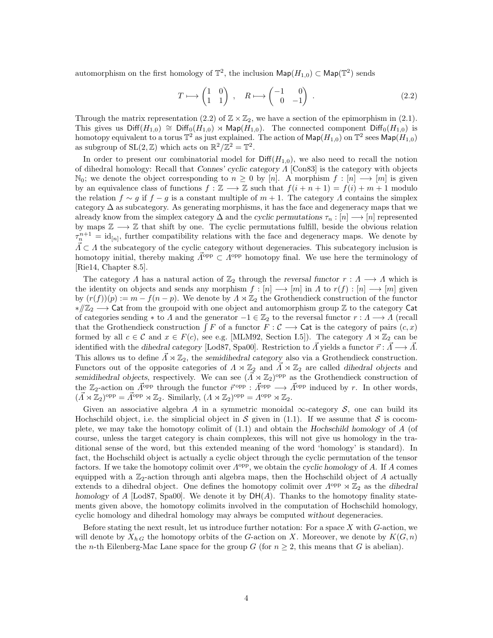automorphism on the first homology of  $\mathbb{T}^2$ , the inclusion  $\mathsf{Map}(H_{1,0}) \subset \mathsf{Map}(\mathbb{T}^2)$  sends

<span id="page-3-0"></span>
$$
T \longmapsto \begin{pmatrix} 1 & 0 \\ 1 & 1 \end{pmatrix} , \quad R \longmapsto \begin{pmatrix} -1 & 0 \\ 0 & -1 \end{pmatrix} . \tag{2.2}
$$

Through the matrix representation [\(2.2\)](#page-3-0) of  $\mathbb{Z} \times \mathbb{Z}_2$ , we have a section of the epimorphism in [\(2.1\)](#page-2-1). This gives us  $\text{Diff}(H_{1,0}) \cong \text{Diff}_0(H_{1,0}) \rtimes \text{Map}(H_{1,0})$ . The connected component  $\text{Diff}_0(H_{1,0})$  is homotopy equivalent to a torus  $\mathbb{T}^2$  as just explained. The action of  $\mathsf{Map}(H_{1,0})$  on  $\mathbb{T}^2$  sees  $\mathsf{Map}(H_{1,0})$ as subgroup of  $SL(2, \mathbb{Z})$  which acts on  $\mathbb{R}^2/\mathbb{Z}^2 = \mathbb{T}^2$ .

In order to present our combinatorial model for  $\text{Diff}(H_{1,0})$ , we also need to recall the notion of dihedral homology: Recall that Connes' cyclic category Λ [\[Con83\]](#page-10-0) is the category with objects  $\mathbb{N}_0$ ; we denote the object corresponding to  $n \geq 0$  by [n]. A morphism  $f : [n] \longrightarrow [m]$  is given by an equivalence class of functions  $f : \mathbb{Z} \longrightarrow \mathbb{Z}$  such that  $f(i + n + 1) = f(i) + m + 1$  modulo the relation  $f \sim g$  if  $f - g$  is a constant multiple of  $m + 1$ . The category  $\Lambda$  contains the simplex category  $\Delta$  as subcategory. As generating morphisms, it has the face and degeneracy maps that we already know from the simplex category  $\Delta$  and the cyclic permutations  $\tau_n : [n] \longrightarrow [n]$  represented by maps  $\mathbb{Z} \longrightarrow \mathbb{Z}$  that shift by one. The cyclic permutations fulfill, beside the obvious relation  $\tau_n^{n+1} = \text{id}_{[n]},$  further compatibility relations with the face and degeneracy maps. We denote by  $\vec{\Lambda} \subset \Lambda$  the subcategory of the cyclic category without degeneracies. This subcategory inclusion is homotopy initial, thereby making  $\vec{\Lambda}^{\text{opp}} \subset \Lambda^{\text{opp}}$  homotopy final. We use here the terminology of [\[Rie14,](#page-11-4) Chapter 8.5].

The category  $\Lambda$  has a natural action of  $\mathbb{Z}_2$  through the reversal functor  $r : \Lambda \longrightarrow \Lambda$  which is the identity on objects and sends any morphism  $f : [n] \longrightarrow [m]$  in  $\Lambda$  to  $r(f) : [n] \longrightarrow [m]$  given by  $(r(f))(p) := m - f(n - p)$ . We denote by  $\Lambda \rtimes \mathbb{Z}_2$  the Grothendieck construction of the functor  $*\mathbb{Z}_2 \longrightarrow$  Cat from the groupoid with one object and automorphism group Z to the category Cat of categories sending \* to  $\Lambda$  and the generator  $-1 \in \mathbb{Z}_2$  to the reversal functor  $r : \Lambda \longrightarrow \Lambda$  (recall that the Grothendieck construction  $\int F$  of a functor  $F : C \longrightarrow$  Cat is the category of pairs  $(c, x)$ formed by all  $c \in \mathcal{C}$  and  $x \in F(c)$ , see e.g. [\[MLM92,](#page-10-13) Section I.5]). The category  $\Lambda \rtimes \mathbb{Z}_2$  can be identified with the dihedral category [\[Lod87,](#page-10-1) [Spa00\]](#page-11-5). Restriction to  $\vec{\Lambda}$  yields a functor  $\vec{r} : \vec{\Lambda} \longrightarrow \vec{\Lambda}$ . This allows us to define  $\overline{\Lambda} \rtimes \mathbb{Z}_2$ , the semidihedral category also via a Grothendieck construction. Functors out of the opposite categories of  $\Lambda \rtimes \mathbb{Z}_2$  and  $\Lambda \rtimes \mathbb{Z}_2$  are called dihedral objects and semidihedral objects, respectively. We can see  $(\vec{\Lambda} \rtimes \mathbb{Z}_2)^{\text{opp}}$  as the Grothendieck construction of the  $\mathbb{Z}_2$ -action on  $\vec{\Lambda}^{\text{opp}}$  through the functor  $\vec{r}^{\text{opp}} : \vec{\Lambda}^{\text{opp}} \longrightarrow \vec{\Lambda}^{\text{opp}}$  induced by r. In other words,  $(\vec{\Lambda} \rtimes \mathbb{Z}_2)^{\text{opp}} = \vec{\Lambda}^{\text{opp}} \rtimes \mathbb{Z}_2$ . Similarly,  $(\Lambda \rtimes \mathbb{Z}_2)^{\text{opp}} = \Lambda^{\text{opp}} \rtimes \mathbb{Z}_2$ .

Given an associative algebra A in a symmetric monoidal  $\infty$ -category S, one can build its Hochschild object, i.e. the simplicial object in S given in [\(1.1\)](#page-0-1). If we assume that S is cocomplete, we may take the homotopy colimit of [\(1.1\)](#page-0-1) and obtain the Hochschild homology of A (of course, unless the target category is chain complexes, this will not give us homology in the traditional sense of the word, but this extended meaning of the word 'homology' is standard). In fact, the Hochschild object is actually a cyclic object through the cyclic permutation of the tensor factors. If we take the homotopy colimit over  $\Lambda^{\text{opp}}$ , we obtain the cyclic homology of A. If A comes equipped with a  $\mathbb{Z}_2$ -action through anti algebra maps, then the Hochschild object of A actually extends to a dihedral object. One defines the homotopy colimit over  $\Lambda^{\text{opp}} \rtimes \mathbb{Z}_2$  as the dihedral homology of  $A$  [\[Lod87,](#page-10-1) [Spa00\]](#page-11-5). We denote it by  $DH(A)$ . Thanks to the homotopy finality statements given above, the homotopy colimits involved in the computation of Hochschild homology, cyclic homology and dihedral homology may always be computed without degeneracies.

Before stating the next result, let us introduce further notation: For a space X with G-action, we will denote by  $X_{h,G}$  the homotopy orbits of the G-action on X. Moreover, we denote by  $K(G,n)$ the *n*-th Eilenberg-Mac Lane space for the group G (for  $n \geq 2$ , this means that G is abelian).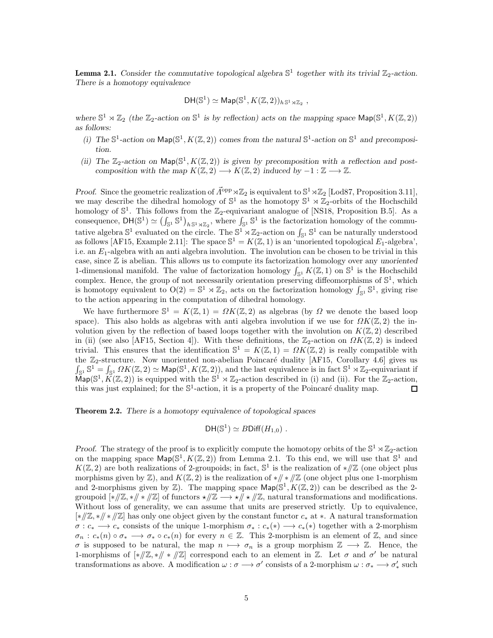<span id="page-4-2"></span>**Lemma 2.1.** Consider the commutative topological algebra  $\mathbb{S}^1$  together with its trivial  $\mathbb{Z}_2$ -action. There is a homotopy equivalence

$$
\mathsf{DH}(\mathbb{S}^1) \simeq \mathsf{Map}(\mathbb{S}^1, K(\mathbb{Z},2))_{h\,\mathbb{S}^1\rtimes \mathbb{Z}_2} ,
$$

<span id="page-4-1"></span>where  $\mathbb{S}^1 \rtimes \mathbb{Z}_2$  (the  $\mathbb{Z}_2$ -action on  $\mathbb{S}^1$  is by reflection) acts on the mapping space  $\mathsf{Map}(\mathbb{S}^1, K(\mathbb{Z}, 2))$ as follows:

- <span id="page-4-0"></span>(i) The  $\mathbb{S}^1$ -action on  $\mathsf{Map}(\mathbb{S}^1, K(\mathbb{Z}, 2))$  comes from the natural  $\mathbb{S}^1$ -action on  $\mathbb{S}^1$  and precomposition.
- (ii) The  $\mathbb{Z}_2$ -action on  $\mathsf{Map}(\mathbb{S}^1, K(\mathbb{Z}, 2))$  is given by precomposition with a reflection and postcomposition with the map  $K(\mathbb{Z}, 2) \longrightarrow K(\mathbb{Z}, 2)$  induced by  $-1 : \mathbb{Z} \longrightarrow \mathbb{Z}$ .

Proof. Since the geometric realization of  $\vec{\Lambda}^{\text{opp}} \rtimes \mathbb{Z}_2$  is equivalent to  $\mathbb{S}^1 \rtimes \mathbb{Z}_2$  [\[Lod87,](#page-10-1) Proposition 3.11], we may describe the dihedral homology of  $\mathbb{S}^1$  as the homotopy  $\mathbb{S}^1 \rtimes \mathbb{Z}_2$ -orbits of the Hochschild homology of  $\mathbb{S}^1$ . This follows from the  $\mathbb{Z}_2$ -equivariant analogue of [\[NS18,](#page-11-6) Proposition B.5]. As a consequence,  $DH(\mathbb{S}^1) \simeq (\int_{\mathbb{S}^1} \mathbb{S}^1)_{h \mathbb{S}^1 \rtimes \mathbb{Z}_2}$ , where  $\int_{\mathbb{S}^1} \mathbb{S}^1$  is the factorization homology of the commutative algebra  $\mathbb{S}^1$  evaluated on the circle. The  $\mathbb{S}^1 \rtimes \mathbb{Z}_2$ -action on  $\int_{\mathbb{S}^1} \mathbb{S}^1$  can be naturally understood as follows [\[AF15,](#page-10-14) Example 2.11]: The space  $\mathbb{S}^1 = K(\mathbb{Z}, 1)$  is an 'unoriented topological  $E_1$ -algebra', i.e. an  $E_1$ -algebra with an anti algebra involution. The involution can be chosen to be trivial in this case, since  $\mathbb Z$  is abelian. This allows us to compute its factorization homology over any unoriented 1-dimensional manifold. The value of factorization homology  $\int_{\mathbb{S}^1} K(\mathbb{Z}, 1)$  on  $\mathbb{S}^1$  is the Hochschild complex. Hence, the group of not necessarily orientation preserving diffeomorphisms of  $\mathbb{S}^1$ , which is homotopy equivalent to  $O(2) = \mathbb{S}^1 \rtimes \mathbb{Z}_2$ , acts on the factorization homology  $\int_{\mathbb{S}^1} \mathbb{S}^1$ , giving rise to the action appearing in the computation of dihedral homology.

We have furthermore  $\mathbb{S}^1 = K(\mathbb{Z}, 1) = \Omega K(\mathbb{Z}, 2)$  as algebras (by  $\Omega$  we denote the based loop space). This also holds as algebras with anti algebra involution if we use for  $\Omega K(\mathbb{Z},2)$  the involution given by the reflection of based loops together with the involution on  $K(\mathbb{Z},2)$  described in [\(ii\)](#page-4-0) (see also [\[AF15,](#page-10-14) Section 4]). With these definitions, the  $\mathbb{Z}_2$ -action on  $\Omega K(\mathbb{Z}, 2)$  is indeed trivial. This ensures that the identification  $\mathbb{S}^1 = K(\mathbb{Z},1) = \Omega K(\mathbb{Z},2)$  is really compatible with the  $\mathbb{Z}_2$ -structure. Now unoriented non-abelian Poincaré duality [\[AF15,](#page-10-14) Corollary 4.6] gives us  $\int_{\mathbb{S}^1} \mathbb{S}^1 = \int_{\mathbb{S}^1} \Omega K(\mathbb{Z}, 2) \simeq \mathsf{Map}(\mathbb{S}^1, K(\mathbb{Z}, 2)),$  and the last equivalence is in fact  $\mathbb{S}^1 \rtimes \mathbb{Z}_2$ -equivariant if  $\text{Map}(\mathbb{S}^1, K(\mathbb{Z}, 2))$  is equipped with the  $\mathbb{S}^1 \rtimes \mathbb{Z}_2$ -action described in [\(i\)](#page-4-1) and [\(ii\).](#page-4-0) For the  $\mathbb{Z}_2$ -action, this was just explained; for the  $\mathbb{S}^1$ -action, it is a property of the Poincaré duality map.  $\Box$ 

<span id="page-4-3"></span>Theorem 2.2. There is a homotopy equivalence of topological spaces

$$
\mathsf{DH}(\mathbb{S}^1)\simeq B\mathsf{Diff}(H_{1,0})\ .
$$

Proof. The strategy of the proof is to explicitly compute the homotopy orbits of the  $\mathbb{S}^1 \rtimes \mathbb{Z}_2$ -action on the mapping space  $\mathsf{Map}(\mathbb{S}^1, K(\mathbb{Z}, 2))$  from Lemma [2.1.](#page-4-2) To this end, we will use that  $\mathbb{S}^1$  and  $K(\mathbb{Z}, 2)$  are both realizations of 2-groupoids; in fact,  $\mathbb{S}^1$  is the realization of \*//Z (one object plus morphisms given by  $\mathbb{Z}$ ), and  $K(\mathbb{Z}, 2)$  is the realization of \*// \* // $\mathbb{Z}$  (one object plus one 1-morphism and 2-morphisms given by  $\mathbb{Z}$ ). The mapping space  $\mathsf{Map}(\mathbb{S}^1, K(\mathbb{Z}, 2))$  can be described as the 2groupoid  $[*//\mathbb{Z}, *\mathbb{Z}]$  of functors  $\star/\mathbb{Z} \longrightarrow \star/\mathbb{Z}$ , natural transformations and modifications. Without loss of generality, we can assume that units are preserved strictly. Up to equivalence, [∗//Z, ∗// ∗ //Z] has only one object given by the constant functor c<sup>∗</sup> at ∗. A natural transformation  $\sigma: c_* \longrightarrow c_*$  consists of the unique 1-morphism  $\sigma_*: c_*(*) \longrightarrow c_*(*)$  together with a 2-morphism  $\sigma_n : c_*(n) \circ \sigma_* \longrightarrow \sigma_* \circ c_*(n)$  for every  $n \in \mathbb{Z}$ . This 2-morphism is an element of  $\mathbb{Z}$ , and since  $\sigma$  is supposed to be natural, the map  $n \mapsto \sigma_n$  is a group morphism  $\mathbb{Z} \longrightarrow \mathbb{Z}$ . Hence, the 1-morphisms of  $[*/\mathbb{Z}, *\mathbb{Z}]$  correspond each to an element in  $\mathbb{Z}$ . Let  $\sigma$  and  $\sigma'$  be natural transformations as above. A modification  $\omega : \sigma \longrightarrow \sigma'$  consists of a 2-morphism  $\omega : \sigma_* \longrightarrow \sigma'_*$  such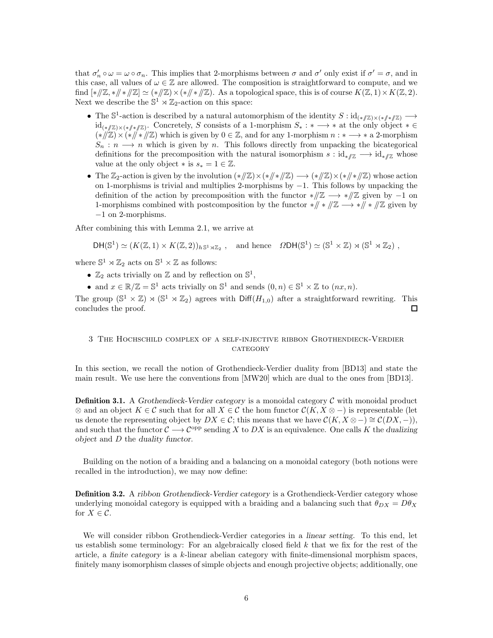that  $\sigma'_n \circ \omega = \omega \circ \sigma_n$ . This implies that 2-morphisms between  $\sigma$  and  $\sigma'$  only exist if  $\sigma' = \sigma$ , and in this case, all values of  $\omega \in \mathbb{Z}$  are allowed. The composition is straightforward to compute, and we find  $[*/\mathbb{Z}, */\mathbb{Z}] \simeq (*/\mathbb{Z}) \times (*/\mathbb{Z})$ . As a topological space, this is of course  $K(\mathbb{Z}, 1) \times K(\mathbb{Z}, 2)$ . Next we describe the  $\mathbb{S}^1 \rtimes \mathbb{Z}_2$ -action on this space:

- The  $\mathbb{S}^1$ -action is described by a natural automorphism of the identity  $S : id_{(*/\mathbb{Z}) \times (*}/(*/\mathbb{Z})} \longrightarrow$  $\mathrm{id}_{(*\mathbb{Z})\times (*\mathbb{Z}^*]}$ . Concretely, S consists of a 1-morphism  $S_*:*\longrightarrow*$  at the only object  $*\in$  $(*/\mathbb{Z})\times(*/\!/*/\mathbb{Z})$  which is given by  $0\in\mathbb{Z}$ , and for any 1-morphism  $n:\ast\longrightarrow*\mathrm{a}$  2-morphism  $S_n : n \longrightarrow n$  which is given by n. This follows directly from unpacking the bicategorical definitions for the precomposition with the natural isomorphism  $s : id_{\nu}/\mathbb{Z} \longrightarrow id_{\nu}/\mathbb{Z}$  whose value at the only object  $*$  is  $s_* = 1 \in \mathbb{Z}$ .
- The  $\mathbb{Z}_2$ -action is given by the involution  $(*/\mathbb{Z}) \times (*/\mathbb{Z}) \longrightarrow (*/\mathbb{Z}) \times (*/\mathbb{Z})$  whose action on 1-morphisms is trivial and multiplies 2-morphisms by −1. This follows by unpacking the definition of the action by precomposition with the functor  $\sqrt{Z} \longrightarrow \sqrt{Z}$  given by -1 on 1-morphisms combined with postcomposition by the functor  $\sqrt{x}$  +  $\sqrt{x}$  =  $\sqrt{x}$  given by −1 on 2-morphisms.

After combining this with Lemma [2.1,](#page-4-2) we arrive at

$$
\mathsf{DH}(\mathbb{S}^1)\simeq (K(\mathbb{Z},1)\times K(\mathbb{Z},2))_{h\mathbb{S}^1\rtimes\mathbb{Z}_2} \text{ , and hence } \Omega\mathsf{DH}(\mathbb{S}^1)\simeq (\mathbb{S}^1\times\mathbb{Z})\rtimes (\mathbb{S}^1\rtimes\mathbb{Z}_2) ,
$$

where  $\mathbb{S}^1 \rtimes \mathbb{Z}_2$  acts on  $\mathbb{S}^1 \times \mathbb{Z}$  as follows:

- $\mathbb{Z}_2$  acts trivially on  $\mathbb{Z}$  and by reflection on  $\mathbb{S}^1$ ,
- and  $x \in \mathbb{R}/\mathbb{Z} = \mathbb{S}^1$  acts trivially on  $\mathbb{S}^1$  and sends  $(0, n) \in \mathbb{S}^1 \times \mathbb{Z}$  to  $(nx, n)$ .

The group  $(\mathbb{S}^1 \times \mathbb{Z}) \rtimes (\mathbb{S}^1 \rtimes \mathbb{Z}_2)$  agrees with  $\text{Diff}(H_{1,0})$  after a straightforward rewriting. This concludes the proof. 口

### <span id="page-5-0"></span>3 The Hochschild complex of a self-injective ribbon Grothendieck-Verdier CATEGORY

In this section, we recall the notion of Grothendieck-Verdier duality from [\[BD13\]](#page-10-2) and state the main result. We use here the conventions from [\[MW20\]](#page-10-15) which are dual to the ones from [\[BD13\]](#page-10-2).

**Definition 3.1.** A Grothendieck-Verdier category is a monoidal category  $\mathcal C$  with monoidal product ⊗ and an object  $K \in \mathcal{C}$  such that for all  $X \in \mathcal{C}$  the hom functor  $\mathcal{C}(K, X \otimes -)$  is representable (let us denote the representing object by  $DX \in \mathcal{C}$ ; this means that we have  $\mathcal{C}(K, X \otimes -) \cong \mathcal{C}(DX, -)$ ), and such that the functor  $\mathcal{C} \longrightarrow \mathcal{C}^{\text{opp}}$  sending X to DX is an equivalence. One calls K the dualizing object and D the duality functor.

Building on the notion of a braiding and a balancing on a monoidal category (both notions were recalled in the introduction), we may now define:

<span id="page-5-1"></span>**Definition 3.2.** A ribbon Grothendieck-Verdier category is a Grothendieck-Verdier category whose underlying monoidal category is equipped with a braiding and a balancing such that  $\theta_{DX} = D\theta_X$ for  $X \in \mathcal{C}$ .

We will consider ribbon Grothendieck-Verdier categories in a *linear setting*. To this end, let us establish some terminology: For an algebraically closed field  $k$  that we fix for the rest of the article, a finite category is a k-linear abelian category with finite-dimensional morphism spaces, finitely many isomorphism classes of simple objects and enough projective objects; additionally, one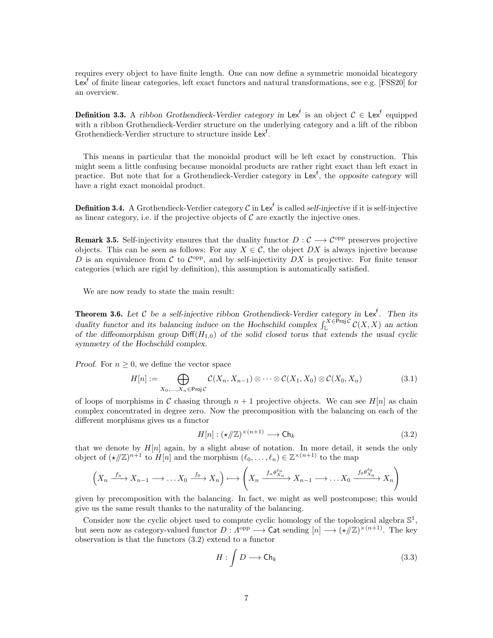requires every object to have finite length. One can now define a symmetric monoidal bicategory Lex<sup>f</sup> of finite linear categories, left exact functors and natural transformations, see e.g. [\[FSS20\]](#page-10-16) for an overview.

**Definition 3.3.** A ribbon Grothendieck-Verdier category in Lex<sup>f</sup> is an object  $C \in \text{Lex}^f$  equipped with a ribbon Grothendieck-Verdier structure on the underlying category and a lift of the ribbon Grothendieck-Verdier structure to structure inside Lex<sup>f</sup>.

This means in particular that the monoidal product will be left exact by construction. This might seem a little confusing because monoidal products are rather right exact than left exact in practice. But note that for a Grothendieck-Verdier category in Lex<sup>f</sup>, the opposite category will have a right exact monoidal product.

**Definition 3.4.** A Grothendieck-Verdier category  $C$  in Lex<sup>f</sup> is called self-injective if it is self-injective as linear category, i.e. if the projective objects of  $\mathcal C$  are exactly the injective ones.

<span id="page-6-4"></span>**Remark 3.5.** Self-injectivity ensures that the duality functor  $D: \mathcal{C} \longrightarrow \mathcal{C}^{\text{opp}}$  preserves projective objects. This can be seen as follows: For any  $X \in \mathcal{C}$ , the object DX is always injective because D is an equivalence from C to  $\mathcal{C}^{\text{opp}}$ , and by self-injectivity DX is projective. For finite tensor categories (which are rigid by definition), this assumption is automatically satisfied.

We are now ready to state the main result:

<span id="page-6-0"></span>**Theorem 3.6.** Let C be a self-injective ribbon Grothendieck-Verdier category in Lex<sup>f</sup>. Then its duality functor and its balancing induce on the Hochschild complex  $\int_{\mathbb{L}}^{X \in \overline{P} \text{roj }\mathcal{C}} C(X,X)$  an action of the diffeomorphism group  $Diff(H_{1,0})$  of the solid closed torus that extends the usual cyclic symmetry of the Hochschild complex.

*Proof.* For  $n \geq 0$ , we define the vector space

$$
H[n] := \bigoplus_{X_0, ..., X_n \in \text{Proj }\mathcal{C}} (\mathcal{X}_n, X_{n-1}) \otimes \cdots \otimes \mathcal{C}(X_1, X_0) \otimes \mathcal{C}(X_0, X_n)
$$
(3.1)

of loops of morphisms in C chasing through  $n + 1$  projective objects. We can see  $H[n]$  as chain complex concentrated in degree zero. Now the precomposition with the balancing on each of the different morphisms gives us a functor

<span id="page-6-2"></span><span id="page-6-1"></span>
$$
H[n] : (\star/\!\!/ \mathbb{Z})^{\times (n+1)} \longrightarrow \mathsf{Ch}_k \tag{3.2}
$$

that we denote by  $H[n]$  again, by a slight abuse of notation. In more detail, it sends the only object of  $(\star/\!\!/ \mathbb{Z})^{n+1}$  to  $H[n]$  and the morphism  $(\ell_0, \ldots, \ell_n) \in \mathbb{Z}^{\times (n+1)}$  to the map

$$
\left(X_n \xrightarrow{f_n} X_{n-1} \longrightarrow \dots X_0 \xrightarrow{f_0} X_n\right) \longmapsto \left(X_n \xrightarrow{f_n \theta_{X_n}^{\ell_n}} X_{n-1} \longrightarrow \dots X_0 \xrightarrow{f_0 \theta_{X_0}^{\ell_0}} X_n\right)
$$

given by precomposition with the balancing. In fact, we might as well postcompose; this would give us the same result thanks to the naturality of the balancing.

Consider now the cyclic object used to compute cyclic homology of the topological algebra  $\mathbb{S}^1$ , but seen now as category-valued functor  $D: \Lambda^{\text{opp}} \longrightarrow \text{Cat}$  sending  $[n] \longrightarrow (\star/\!\!/ \mathbb{Z})^{\times (n+1)}$ . The key observation is that the functors [\(3.2\)](#page-6-1) extend to a functor

<span id="page-6-3"></span>
$$
H: \int D \longrightarrow \mathsf{Ch}_k \tag{3.3}
$$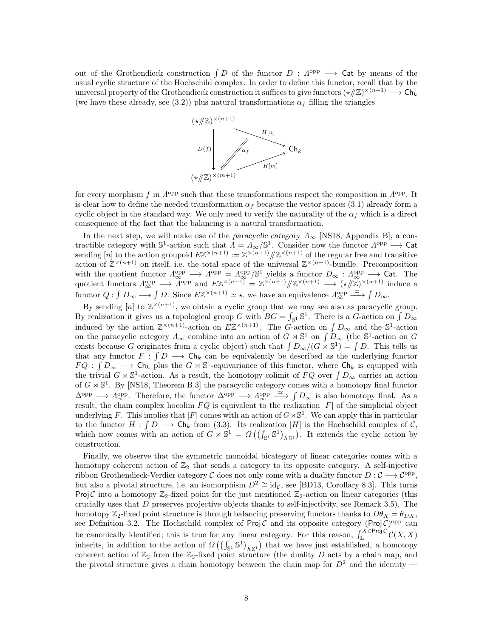out of the Grothendieck construction  $\int D$  of the functor  $D : \Lambda^{opp} \longrightarrow$  Cat by means of the usual cyclic structure of the Hochschild complex. In order to define this functor, recall that by the universal property of the Grothendieck construction it suffices to give functors  $(\star/\!\!/ \mathbb{Z})^{\times (n+1)} \longrightarrow \mathsf{Ch}_k$ (we have these already, see [\(3.2\)](#page-6-1)) plus natural transformations  $\alpha_f$  filling the triangles



for every morphism f in  $\Lambda^{\text{opp}}$  such that these transformations respect the composition in  $\Lambda^{\text{opp}}$ . It is clear how to define the needed transformation  $\alpha_f$  because the vector spaces [\(3.1\)](#page-6-2) already form a cyclic object in the standard way. We only need to verify the naturality of the  $\alpha_f$  which is a direct consequence of the fact that the balancing is a natural transformation.

In the next step, we will make use of the paracyclic category  $\Lambda_{\infty}$  [\[NS18,](#page-11-6) Appendix B], a contractible category with  $\mathbb{S}^1$ -action such that  $\Lambda = \Lambda_\infty/\mathbb{S}^1$ . Consider now the functor  $\Lambda^{\text{opp}} \longrightarrow$  Cat sending [n] to the action groupoid  $E\mathbb{Z}^{\times(n+1)} := \mathbb{Z}^{\times(n+1)}/\mathbb{Z}^{\times(n+1)}$  of the regular free and transitive action of  $\mathbb{Z}^{\times(n+1)}$  on itself, i.e. the total space of the universal  $\mathbb{Z}^{\times(n+1)}$ -bundle. Precomposition with the quotient functor  $\Lambda_{\infty}^{\text{opp}} \longrightarrow \Lambda_{\infty}^{\text{opp}} = \Lambda_{\infty}^{\text{opp}}/\mathbb{S}^1$  yields a functor  $D_{\infty} : \Lambda_{\infty}^{\text{opp}} \longrightarrow$  Cat. The quotient functors  $\Lambda_{\infty}^{\text{opp}} \longrightarrow \widetilde{\Lambda}^{\text{opp}}$  and  $E\mathbb{Z}^{\times(n+1)} = \mathbb{Z}^{\times(n+1)}/\mathbb{Z}^{\times(n+1)} \longrightarrow (\star/\mathbb{Z})^{\times(n+1)}$  induce a functor  $Q: \int D_{\infty} \longrightarrow \int D$ . Since  $E\mathbb{Z}^{\times (n+1)} \simeq \star$ , we have an equivalence  $\Lambda_{\infty}^{\text{opp}} \stackrel{\simeq}{\longrightarrow} \int D_{\infty}$ .

By sending  $[n]$  to  $\mathbb{Z}^{\times (n+1)}$ , we obtain a cyclic group that we may see also as paracyclic group. By realization it gives us a topological group G with  $BG = \int_{\mathbb{S}^1} \mathbb{S}^1$ . There is a G-action on  $\int D_{\infty}$ induced by the action  $\mathbb{Z}^{\times (n+1)}$ -action on  $E\mathbb{Z}^{\times (n+1)}$ . The G-action on  $\int D_{\infty}$  and the  $\mathbb{S}^1$ -action on the paracyclic category  $\Lambda_{\infty}$  combine into an action of  $G \rtimes \mathbb{S}^1$  on  $\int D_{\infty}$  (the  $\mathbb{S}^1$ -action on  $G$ exists because G originates from a cyclic object) such that  $\int D_{\infty}/(G \times \mathbb{S}^1) = \int D$ . This tells us that any functor  $F: \int D \longrightarrow \mathsf{Ch}_k$  can be equivalently be described as the underlying functor  $FQ: \int D_{\infty} \longrightarrow \mathsf{Ch}_k$  plus the  $G \rtimes \mathbb{S}^1$ -equivariance of this functor, where  $\mathsf{Ch}_k$  is equipped with the trivial  $G \rtimes \mathbb{S}^1$ -action. As a result, the homotopy colimit of  $FQ$  over  $\int D_{\infty}$  carries an action of  $G \rtimes \mathbb{S}^1$ . By [\[NS18,](#page-11-6) Theorem B.3] the paracyclic category comes with a homotopy final functor  $\Delta^{\text{opp}} \longrightarrow A_{\infty}^{\text{opp}}$ . Therefore, the functor  $\Delta^{\text{opp}} \longrightarrow A_{\infty}^{\text{opp}} \longrightarrow \int D_{\infty}$  is also homotopy final. As a result, the chain complex hocolim  $FQ$  is equivalent to the realization  $|F|$  of the simplicial object underlying F. This implies that  $|F|$  comes with an action of  $G\rtimes\mathbb{S}^1$ . We can apply this in particular to the functor  $H: \int D \longrightarrow \mathsf{Ch}_k$  from [\(3.3\)](#page-6-3). Its realization |H| is the Hochschild complex of  $\mathcal{C}$ , which now comes with an action of  $G \rtimes \mathbb{S}^1 = \Omega((\int_{\mathbb{S}^1} \mathbb{S}^1)_{h\mathbb{S}^1})$ . It extends the cyclic action by construction.

Finally, we observe that the symmetric monoidal bicategory of linear categories comes with a homotopy coherent action of  $\mathbb{Z}_2$  that sends a category to its opposite category. A self-injective ribbon Grothendieck-Verdier category C does not only come with a duality functor  $D: \mathcal{C} \longrightarrow \mathcal{C}^{\text{opp}}$ , but also a pivotal structure, i.e. an isomorphism  $D^2 \cong id_{\mathcal{C}}$ , see [\[BD13,](#page-10-2) Corollary 8.3]. This turns Proj C into a homotopy  $\mathbb{Z}_2$ -fixed point for the just mentioned  $\mathbb{Z}_2$ -action on linear categories (this crucially uses that  $D$  preserves projective objects thanks to self-injectivity, see Remark [3.5\)](#page-6-4). The homotopy  $\mathbb{Z}_2$ -fixed point structure is through balancing preserving functors thanks to  $D\theta_X = \theta_{DX}$ , see Definition [3.2.](#page-5-1) The Hochschild complex of Proj  $\mathcal C$  and its opposite category (Proj  $\mathcal C$ )<sup>opp</sup> can be canonically identified; this is true for any linear category. For this reason,  $\int_{\mathbb{L}}^{X \in \mathsf{Proj} \mathcal{C}} C(X,X)$ inherits, in addition to the action of  $\Omega((\int_{\mathbb{S}^1} \mathbb{S}^1)_{h\mathbb{S}^1})$  that we have just established, a homotopy coherent action of  $\mathbb{Z}_2$  from the  $\mathbb{Z}_2$ -fixed point structure (the duality D acts by a chain map, and the pivotal structure gives a chain homotopy between the chain map for  $D^2$  and the identity –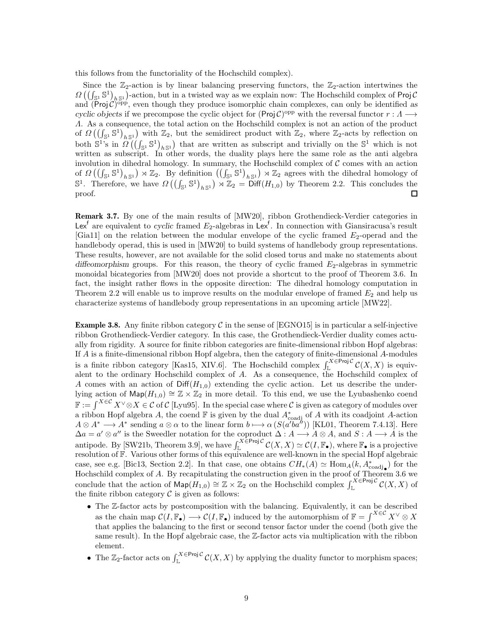this follows from the functoriality of the Hochschild complex).

Since the  $\mathbb{Z}_2$ -action is by linear balancing preserving functors, the  $\mathbb{Z}_2$ -action intertwines the  $\Omega\left(\left(\int_{\mathbb{S}^1} \mathbb{S}^1\right)_{h\mathbb{S}^1}\right)$ -action, but in a twisted way as we explain now: The Hochschild complex of Proj C and  $(Proj \mathcal{C})^{\text{opp}}$ , even though they produce isomorphic chain complexes, can only be identified as cyclic objects if we precompose the cyclic object for  $(Proj C)^{opp}$  with the reversal functor  $r : A \longrightarrow$ Λ. As a consequence, the total action on the Hochschild complex is not an action of the product of  $\Omega\left(\left(\int_{\mathbb{S}^1} \mathbb{S}^1\right)_{h\mathbb{S}^1}\right)$  with  $\mathbb{Z}_2$ , but the semidirect product with  $\mathbb{Z}_2$ , where  $\mathbb{Z}_2$ -acts by reflection on both  $\mathbb{S}^1$ 's in  $\Omega((\int_{\mathbb{S}^1} \mathbb{S}^1)_{h\mathbb{S}^1})$  that are written as subscript and trivially on the  $\mathbb{S}^1$  which is not written as subscript. In other words, the duality plays here the same role as the anti algebra involution in dihedral homology. In summary, the Hochschild complex of  $C$  comes with an action of  $\Omega\left(\left(\int_{\mathbb{S}^1} \mathbb{S}^1\right)_{h\mathbb{S}^1}\right) \rtimes \mathbb{Z}_2$  agrees with the dihedral homology of  $\mathbb{S}^1$ . Therefore, we have  $\Omega\left(\left(\int_{\mathbb{S}^1} \mathbb{S}^1\right)_{h\mathbb{S}^1}\right) \rtimes \mathbb{Z}_2 = \text{Diff}(H_{1,0})$  by Theorem [2.2.](#page-4-3) This concludes the  $\Box$ proof.

Remark 3.7. By one of the main results of [\[MW20\]](#page-10-15), ribbon Grothendieck-Verdier categories in Lex<sup>f</sup> are equivalent to cyclic framed  $E_2$ -algebras in Lex<sup>f</sup>. In connection with Giansiracusa's result  $[Gial1]$  on the relation between the modular envelope of the cyclic framed  $E_2$ -operad and the handlebody operad, this is used in [\[MW20\]](#page-10-15) to build systems of handlebody group representations. These results, however, are not available for the solid closed torus and make no statements about diffeomorphism groups. For this reason, the theory of cyclic framed  $E_2$ -algebras in symmetric monoidal bicategories from [\[MW20\]](#page-10-15) does not provide a shortcut to the proof of Theorem [3.6.](#page-6-0) In fact, the insight rather flows in the opposite direction: The dihedral homology computation in Theorem [2.2](#page-4-3) will enable us to improve results on the modular envelope of framed  $E_2$  and help us characterize systems of handlebody group representations in an upcoming article [\[MW22\]](#page-10-18).

<span id="page-8-0"></span>**Example 3.8.** Any finite ribbon category  $\mathcal{C}$  in the sense of [\[EGNO15\]](#page-10-5) is in particular a self-injective ribbon Grothendieck-Verdier category. In this case, the Grothendieck-Verdier duality comes actually from rigidity. A source for finite ribbon categories are finite-dimensional ribbon Hopf algebras: If A is a finite-dimensional ribbon Hopf algebra, then the category of finite-dimensional A-modules is a finite ribbon category [\[Kas15,](#page-10-8) XIV.6]. The Hochschild complex  $\int_{\mathbb{L}}^{X \in \mathsf{Proj} \mathcal{C}} C(X, X)$  is equivalent to the ordinary Hochschild complex of A. As a consequence, the Hochschild complex of A comes with an action of  $\text{Diff}(H_{1,0})$  extending the cyclic action. Let us describe the underlying action of  $\mathsf{Map}(H_{1,0}) \cong \mathbb{Z} \times \mathbb{Z}_2$  in more detail. To this end, we use the Lyubashenko coend  $\mathbb{F} := \int^{X \in \mathcal{C}} X^{\vee} \otimes X \in \mathcal{C}$  of  $\mathcal{C}$  [\[Lyu95\]](#page-10-19). In the special case where  $\mathcal{C}$  is given as category of modules over a ribbon Hopf algebra A, the coend  $\mathbb F$  is given by the dual  $A^*_{\text{coadj}}$  of A with its coadjoint A-action  $A \otimes A^* \longrightarrow A^*$  sending  $a \otimes \alpha$  to the linear form  $b \longmapsto \alpha(S(a'b''') )$  [\[KL01,](#page-10-20) Theorem 7.4.13]. Here  $\Delta a = a' \otimes a''$  is the Sweedler notation for the coproduct  $\Delta : A \longrightarrow A \otimes A$ , and  $S : A \longrightarrow A$  is the antipode. By [\[SW21b,](#page-11-7) Theorem 3.9], we have  $\int_{\mathbb{L}}^{X \in \mathsf{Proj} \mathcal{C}} \mathcal{C}(X,X) \simeq \mathcal{C}(I,\mathbb{F}_{\bullet})$ , where  $\mathbb{F}_{\bullet}$  is a projective resolution of F. Various other forms of this equivalence are well-known in the special Hopf algebraic case, see e.g. [\[Bic13,](#page-10-21) Section 2.2]. In that case, one obtains  $CH_*(A) \simeq \text{Hom}_A(k, A^*_{\text{coadj}})$  for the Hochschild complex of A. By recapitulating the construction given in the proof of Theorem [3.6](#page-6-0) we conclude that the action of  $\mathsf{Map}(H_{1,0}) \cong \mathbb{Z} \times \mathbb{Z}_2$  on the Hochschild complex  $\int_{\mathbb{L}}^{X \in \mathsf{Proj} \mathcal{C}} C(X,X)$  of the finite ribbon category  $\mathcal C$  is given as follows:

- The Z-factor acts by postcomposition with the balancing. Equivalently, it can be described as the chain map  $\mathcal{C}(I,\mathbb{F}_{\bullet}) \longrightarrow \mathcal{C}(I,\mathbb{F}_{\bullet})$  induced by the automorphism of  $\mathbb{F} = \int^{X \in \mathcal{C}} X^{\vee} \otimes X$ that applies the balancing to the first or second tensor factor under the coend (both give the same result). In the Hopf algebraic case, the Z-factor acts via multiplication with the ribbon element.
- The  $\mathbb{Z}_2$ -factor acts on  $\int_{\mathbb{L}}^{X \in \text{Proj } C} C(X,X)$  by applying the duality functor to morphism spaces;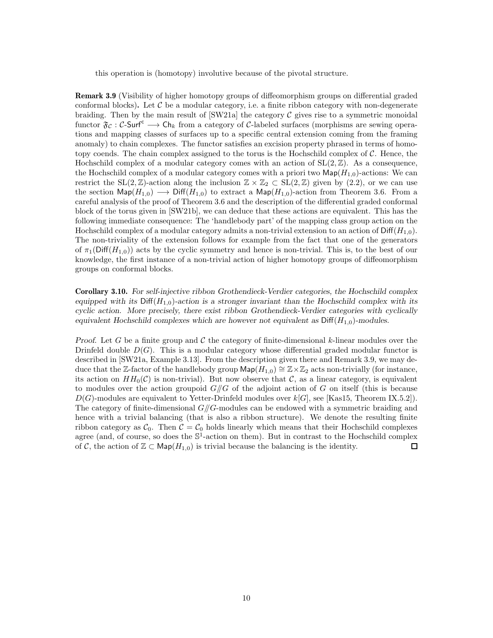this operation is (homotopy) involutive because of the pivotal structure.

<span id="page-9-1"></span>Remark 3.9 (Visibility of higher homotopy groups of diffeomorphism groups on differential graded conformal blocks). Let  $C$  be a modular category, i.e. a finite ribbon category with non-degenerate braiding. Then by the main result of  $\left[\text{SW21a}\right]$  the category  $\mathcal C$  gives rise to a symmetric monoidal functor  $\mathfrak{F}_{\mathcal{C}}:$  C-Surf<sup>c</sup>  $\longrightarrow$  Ch<sub>k</sub> from a category of C-labeled surfaces (morphisms are sewing operations and mapping classes of surfaces up to a specific central extension coming from the framing anomaly) to chain complexes. The functor satisfies an excision property phrased in terms of homotopy coends. The chain complex assigned to the torus is the Hochschild complex of  $\mathcal{C}$ . Hence, the Hochschild complex of a modular category comes with an action of  $SL(2, \mathbb{Z})$ . As a consequence, the Hochschild complex of a modular category comes with a priori two  $\mathsf{Map}(H_{1,0})$ -actions: We can restrict the SL(2, Z)-action along the inclusion  $\mathbb{Z} \times \mathbb{Z}_2 \subset SL(2,\mathbb{Z})$  given by [\(2.2\)](#page-3-0), or we can use the section  $\mathsf{Map}(H_{1,0}) \longrightarrow \mathsf{Diff}(H_{1,0})$  to extract a  $\mathsf{Map}(H_{1,0})$ -action from Theorem [3.6.](#page-6-0) From a careful analysis of the proof of Theorem [3.6](#page-6-0) and the description of the differential graded conformal block of the torus given in [\[SW21b\]](#page-11-7), we can deduce that these actions are equivalent. This has the following immediate consequence: The 'handlebody part' of the mapping class group action on the Hochschild complex of a modular category admits a non-trivial extension to an action of  $\text{Diff}(H_{1,0})$ . The non-triviality of the extension follows for example from the fact that one of the generators of  $\pi_1(\text{Diff}(H_{1,0}))$  acts by the cyclic symmetry and hence is non-trivial. This is, to the best of our knowledge, the first instance of a non-trivial action of higher homotopy groups of diffeomorphism groups on conformal blocks.

<span id="page-9-0"></span>Corollary 3.10. For self-injective ribbon Grothendieck-Verdier categories, the Hochschild complex equipped with its  $\text{Diff}(H_{1,0})$ -action is a stronger invariant than the Hochschild complex with its cyclic action. More precisely, there exist ribbon Grothendieck-Verdier categories with cyclically equivalent Hochschild complexes which are however not equivalent as  $\text{Diff}(H_{1,0})$ -modules.

Proof. Let G be a finite group and C the category of finite-dimensional k-linear modules over the Drinfeld double  $D(G)$ . This is a modular category whose differential graded modular functor is described in [\[SW21a,](#page-11-8) Example 3.13]. From the description given there and Remark [3.9,](#page-9-1) we may deduce that the Z-factor of the handlebody group  $\textsf{Map}(H_{1,0}) \cong \mathbb{Z} \times \mathbb{Z}_2$  acts non-trivially (for instance, its action on  $HH_0(\mathcal{C})$  is non-trivial). But now observe that  $\mathcal{C}$ , as a linear category, is equivalent to modules over the action groupoid  $G/\!\!/ G$  of the adjoint action of G on itself (this is because  $D(G)$ -modules are equivalent to Yetter-Drinfeld modules over  $k[G]$ , see [\[Kas15,](#page-10-8) Theorem IX.5.2]). The category of finite-dimensional  $G/\!/G$ -modules can be endowed with a symmetric braiding and hence with a trivial balancing (that is also a ribbon structure). We denote the resulting finite ribbon category as  $C_0$ . Then  $C = C_0$  holds linearly which means that their Hochschild complexes agree (and, of course, so does the  $\mathbb{S}^1$ -action on them). But in contrast to the Hochschild complex of C, the action of  $\mathbb{Z} \subset \mathsf{Map}(H_{1,0})$  is trivial because the balancing is the identity.  $\Box$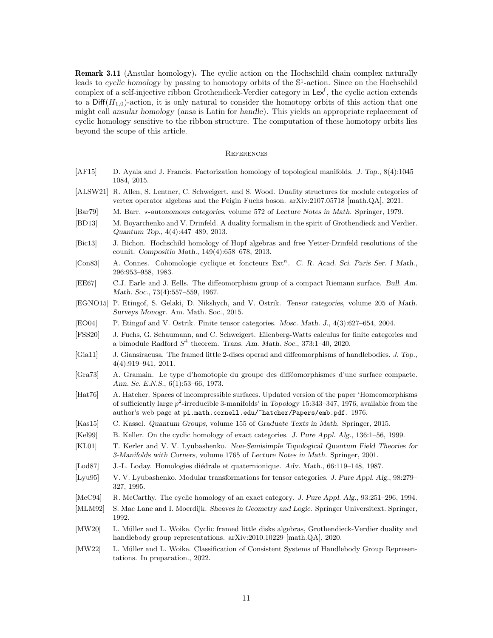Remark 3.11 (Ansular homology). The cyclic action on the Hochschild chain complex naturally leads to cyclic homology by passing to homotopy orbits of the  $\mathbb{S}^1$ -action. Since on the Hochschild complex of a self-injective ribbon Grothendieck-Verdier category in Lex<sup>f</sup>, the cyclic action extends to a  $\text{Diff}(H_{1,0})$ -action, it is only natural to consider the homotopy orbits of this action that one might call ansular homology (ansa is Latin for handle). This yields an appropriate replacement of cyclic homology sensitive to the ribbon structure. The computation of these homotopy orbits lies beyond the scope of this article.

#### **REFERENCES**

- <span id="page-10-14"></span>[AF15] D. Ayala and J. Francis. Factorization homology of topological manifolds. J. Top., 8(4):1045– 1084, 2015.
- <span id="page-10-9"></span>[ALSW21] R. Allen, S. Lentner, C. Schweigert, and S. Wood. Duality structures for module categories of vertex operator algebras and the Feigin Fuchs boson. arXiv:2107.05718 [math.QA], 2021.
- <span id="page-10-3"></span>[Bar79] M. Barr.  $\star$ -autonomous categories, volume 572 of Lecture Notes in Math. Springer, 1979.
- <span id="page-10-2"></span>[BD13] M. Boyarchenko and V. Drinfeld. A duality formalism in the spirit of Grothendieck and Verdier. Quantum Top., 4(4):447–489, 2013.
- <span id="page-10-21"></span>[Bic13] J. Bichon. Hochschild homology of Hopf algebras and free Yetter-Drinfeld resolutions of the counit. Compositio Math., 149(4):658–678, 2013.
- <span id="page-10-0"></span>[Con83] A. Connes. Cohomologie cyclique et foncteurs Ext<sup>n</sup>. C. R. Acad. Sci. Paris Ser. I Math., 296:953–958, 1983.
- <span id="page-10-11"></span>[EE67] C.J. Earle and J. Eells. The diffeomorphism group of a compact Riemann surface. Bull. Am. Math. Soc., 73(4):557–559, 1967.
- <span id="page-10-5"></span>[EGNO15] P. Etingof, S. Gelaki, D. Nikshych, and V. Ostrik. Tensor categories, volume 205 of Math. Surveys Monogr. Am. Math. Soc., 2015.
- <span id="page-10-4"></span>[EO04] P. Etingof and V. Ostrik. Finite tensor categories. Mosc. Math. J., 4(3):627–654, 2004.
- <span id="page-10-16"></span>[FSS20] J. Fuchs, G. Schaumann, and C. Schweigert. Eilenberg-Watts calculus for finite categories and a bimodule Radford  $S^4$  theorem. Trans. Am. Math. Soc., 373:1-40, 2020.
- <span id="page-10-17"></span>[Gia11] J. Giansiracusa. The framed little 2-discs operad and diffeomorphisms of handlebodies. J. Top., 4(4):919–941, 2011.
- <span id="page-10-12"></span>[Gra73] A. Gramain. Le type d'homotopie du groupe des difféomorphismes d'une surface compacte. Ann. Sc. E.N.S., 6(1):53–66, 1973.
- <span id="page-10-10"></span>[Hat76] A. Hatcher. Spaces of incompressible surfaces. Updated version of the paper 'Homeomorphisms of sufficiently large  $p^2$ -irreducible 3-manifolds' in *Topology* 15:343-347, 1976, available from the author's web page at pi.math.cornell.edu/~hatcher/Papers/emb.pdf. 1976.
- <span id="page-10-8"></span>[Kas15] C. Kassel. Quantum Groups, volume 155 of Graduate Texts in Math. Springer, 2015.
- <span id="page-10-7"></span>[Kel99] B. Keller. On the cyclic homology of exact categories. J. Pure Appl. Alg., 136:1–56, 1999.
- <span id="page-10-20"></span>[KL01] T. Kerler and V. V. Lyubashenko. Non-Semisimple Topological Quantum Field Theories for 3-Manifolds with Corners, volume 1765 of Lecture Notes in Math. Springer, 2001.
- <span id="page-10-1"></span>[Lod87] J.-L. Loday. Homologies diédrale et quaternionique. Adv. Math., 66:119–148, 1987.
- <span id="page-10-19"></span>[Lyu95] V. V. Lyubashenko. Modular transformations for tensor categories. J. Pure Appl. Alg., 98:279– 327, 1995.
- <span id="page-10-6"></span>[McC94] R. McCarthy. The cyclic homology of an exact category. J. Pure Appl. Alg., 93:251–296, 1994.
- <span id="page-10-13"></span>[MLM92] S. Mac Lane and I. Moerdijk. Sheaves in Geometry and Logic. Springer Universitext. Springer, 1992.
- <span id="page-10-15"></span>[MW20] L. Müller and L. Woike. Cyclic framed little disks algebras, Grothendieck-Verdier duality and handlebody group representations. arXiv:2010.10229 [math.QA], 2020.
- <span id="page-10-18"></span>[MW22] L. Müller and L. Woike. Classification of Consistent Systems of Handlebody Group Representations. In preparation., 2022.